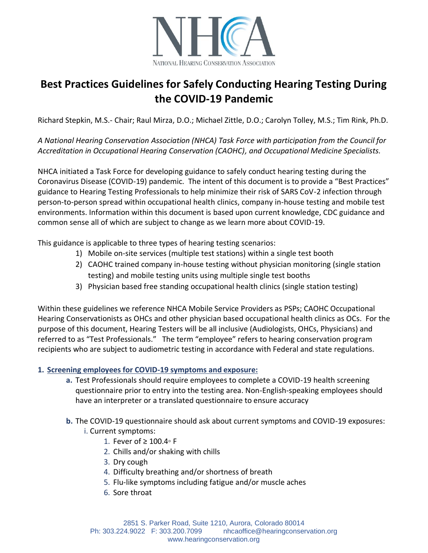

# **Best Practices Guidelines for Safely Conducting Hearing Testing During the COVID-19 Pandemic**

Richard Stepkin, M.S.- Chair; Raul Mirza, D.O.; Michael Zittle, D.O.; Carolyn Tolley, M.S.; Tim Rink, Ph.D.

*A National Hearing Conservation Association (NHCA) Task Force with participation from the Council for Accreditation in Occupational Hearing Conservation (CAOHC), and Occupational Medicine Specialists.* 

NHCA initiated a Task Force for developing guidance to safely conduct hearing testing during the Coronavirus Disease (COVID-19) pandemic. The intent of this document is to provide a "Best Practices" guidance to Hearing Testing Professionals to help minimize their risk of SARS CoV-2 infection through person-to-person spread within occupational health clinics, company in-house testing and mobile test environments. Information within this document is based upon current knowledge, CDC guidance and common sense all of which are subject to change as we learn more about COVID-19.

This guidance is applicable to three types of hearing testing scenarios:

- 1) Mobile on-site services (multiple test stations) within a single test booth
- 2) CAOHC trained company in-house testing without physician monitoring (single station testing) and mobile testing units using multiple single test booths
- 3) Physician based free standing occupational health clinics (single station testing)

Within these guidelines we reference NHCA Mobile Service Providers as PSPs; CAOHC Occupational Hearing Conservationists as OHCs and other physician based occupational health clinics as OCs. For the purpose of this document, Hearing Testers will be all inclusive (Audiologists, OHCs, Physicians) and referred to as "Test Professionals." The term "employee" refers to hearing conservation program recipients who are subject to audiometric testing in accordance with Federal and state regulations.

# **1. Screening employees for COVID-19 symptoms and exposure:**

- **a.** Test Professionals should require employees to complete a COVID-19 health screening questionnaire prior to entry into the testing area. Non-English-speaking employees should have an interpreter or a translated questionnaire to ensure accuracy
- **b.** The COVID-19 questionnaire should ask about current symptoms and COVID-19 exposures:
	- i. Current symptoms:
		- 1. Fever of ≥ 100.4◦ F
		- 2. Chills and/or shaking with chills
		- 3. Dry cough
		- 4. Difficulty breathing and/or shortness of breath
		- 5. Flu-like symptoms including fatigue and/or muscle aches
		- 6. Sore throat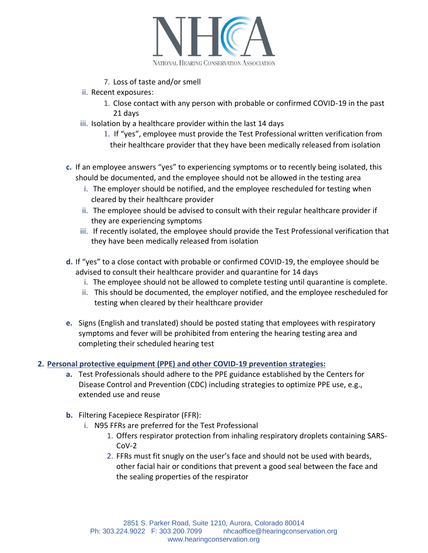

- 7. Loss of taste and/or smell
- ii. Recent exposures:
	- 1. Close contact with any person with probable or confirmed COVID-19 in the past 21 days
- iii. Isolation by a healthcare provider within the last 14 days
	- 1. If "yes", employee must provide the Test Professional written verification from their healthcare provider that they have been medically released from isolation
- **c.** If an employee answers "yes" to experiencing symptoms or to recently being isolated, this should be documented, and the employee should not be allowed in the testing area
	- i. The employer should be notified, and the employee rescheduled for testing when cleared by their healthcare provider
	- ii. The employee should be advised to consult with their regular healthcare provider if they are experiencing symptoms
	- iii. If recently isolated, the employee should provide the Test Professional verification that they have been medically released from isolation
- **d.** If "yes" to a close contact with probable or confirmed COVID-19, the employee should be advised to consult their healthcare provider and quarantine for 14 days
	- i. The employee should not be allowed to complete testing until quarantine is complete.
	- ii. This should be documented, the employer notified, and the employee rescheduled for testing when cleared by their healthcare provider
- **e.** Signs (English and translated) should be posted stating that employees with respiratory symptoms and fever will be prohibited from entering the hearing testing area and completing their scheduled hearing test

# **2. Personal protective equipment (PPE) and other COVID-19 prevention strategies:**

- **a.** Test Professionals should adhere to the PPE guidance established by the Centers for Disease Control and Prevention (CDC) including strategies to optimize PPE use, e.g., extended use and reuse
- **b.** Filtering Facepiece Respirator (FFR):
	- i. N95 FFRs are preferred for the Test Professional
		- 1. Offers respirator protection from inhaling respiratory droplets containing SARS-CoV-2
		- 2. FFRs must fit snugly on the user's face and should not be used with beards, other facial hair or conditions that prevent a good seal between the face and the sealing properties of the respirator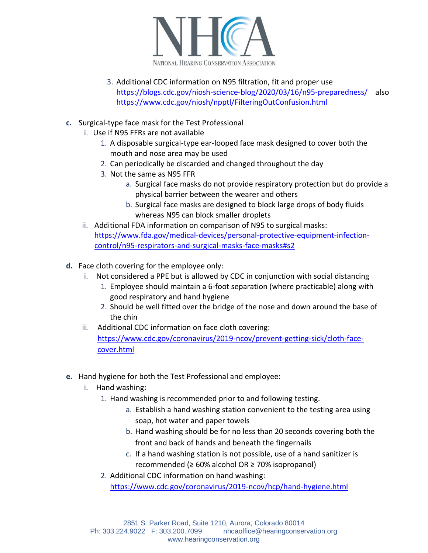

- 3. Additional CDC information on N95 filtration, fit and proper use <https://blogs.cdc.gov/niosh-science-blog/2020/03/16/n95-preparedness/>also <https://www.cdc.gov/niosh/npptl/FilteringOutConfusion.html>
- **c.** Surgical-type face mask for the Test Professional
	- i. Use if N95 FFRs are not available
		- 1. A disposable surgical-type ear-looped face mask designed to cover both the mouth and nose area may be used
		- 2. Can periodically be discarded and changed throughout the day
		- 3. Not the same as N95 FFR
			- a. Surgical face masks do not provide respiratory protection but do provide a physical barrier between the wearer and others
			- b. Surgical face masks are designed to block large drops of body fluids whereas N95 can block smaller droplets
	- ii. Additional FDA information on comparison of N95 to surgical masks: [https://www.fda.gov/medical-devices/personal-protective-equipment-infection](https://www.fda.gov/medical-devices/personal-protective-equipment-infection-control/n95-respirators-and-surgical-masks-face-masks#s2)[control/n95-respirators-and-surgical-masks-face-masks#s2](https://www.fda.gov/medical-devices/personal-protective-equipment-infection-control/n95-respirators-and-surgical-masks-face-masks#s2)
- **d.** Face cloth covering for the employee only:
	- i. Not considered a PPE but is allowed by CDC in conjunction with social distancing
		- 1. Employee should maintain a 6-foot separation (where practicable) along with good respiratory and hand hygiene
		- 2. Should be well fitted over the bridge of the nose and down around the base of the chin
	- ii. Additional CDC information on face cloth covering: [https://www.cdc.gov/coronavirus/2019-ncov/prevent-getting-sick/cloth-face](https://www.cdc.gov/coronavirus/2019-ncov/prevent-getting-sick/cloth-face-cover.html)[cover.html](https://www.cdc.gov/coronavirus/2019-ncov/prevent-getting-sick/cloth-face-cover.html)
- **e.** Hand hygiene for both the Test Professional and employee:
	- i. Hand washing:
		- 1. Hand washing is recommended prior to and following testing.
			- a. Establish a hand washing station convenient to the testing area using soap, hot water and paper towels
			- b. Hand washing should be for no less than 20 seconds covering both the front and back of hands and beneath the fingernails
			- c. If a hand washing station is not possible, use of a hand sanitizer is recommended ( $\geq 60\%$  alcohol OR  $\geq 70\%$  isopropanol)
		- 2. Additional CDC information on hand washing: <https://www.cdc.gov/coronavirus/2019-ncov/hcp/hand-hygiene.html>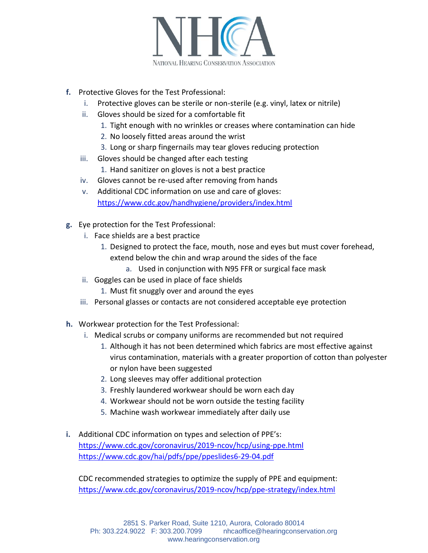

- **f.** Protective Gloves for the Test Professional:
	- i. Protective gloves can be sterile or non-sterile (e.g. vinyl, latex or nitrile)
	- ii. Gloves should be sized for a comfortable fit
		- 1. Tight enough with no wrinkles or creases where contamination can hide
		- 2. No loosely fitted areas around the wrist
		- 3. Long or sharp fingernails may tear gloves reducing protection
	- iii. Gloves should be changed after each testing
		- 1. Hand sanitizer on gloves is not a best practice
	- iv. Gloves cannot be re-used after removing from hands
	- v. Additional CDC information on use and care of gloves: <https://www.cdc.gov/handhygiene/providers/index.html>
- **g.** Eye protection for the Test Professional:
	- i. Face shields are a best practice
		- 1. Designed to protect the face, mouth, nose and eyes but must cover forehead, extend below the chin and wrap around the sides of the face
			- a. Used in conjunction with N95 FFR or surgical face mask
	- ii. Goggles can be used in place of face shields
		- 1. Must fit snuggly over and around the eyes
	- iii. Personal glasses or contacts are not considered acceptable eye protection
- **h.** Workwear protection for the Test Professional:
	- i. Medical scrubs or company uniforms are recommended but not required
		- 1. Although it has not been determined which fabrics are most effective against virus contamination, materials with a greater proportion of cotton than polyester or nylon have been suggested
		- 2. Long sleeves may offer additional protection
		- 3. Freshly laundered workwear should be worn each day
		- 4. Workwear should not be worn outside the testing facility
		- 5. Machine wash workwear immediately after daily use
- **i.** Additional CDC information on types and selection of PPE's: <https://www.cdc.gov/coronavirus/2019-ncov/hcp/using-ppe.html> <https://www.cdc.gov/hai/pdfs/ppe/ppeslides6-29-04.pdf>

CDC recommended strategies to optimize the supply of PPE and equipment: <https://www.cdc.gov/coronavirus/2019-ncov/hcp/ppe-strategy/index.html>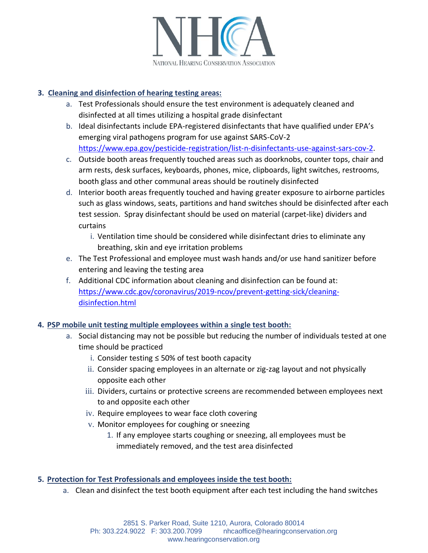

# **3. Cleaning and disinfection of hearing testing areas:**

- a. Test Professionals should ensure the test environment is adequately cleaned and disinfected at all times utilizing a hospital grade disinfectant
- b. Ideal disinfectants include EPA-registered disinfectants that have qualified under EPA's emerging viral pathogens program for use against SARS-CoV-2 [https://www.epa.gov/pesticide-registration/list-n-disinfectants-use-against-sars-cov-2.](https://www.epa.gov/pesticide-registration/list-n-disinfectants-use-against-sars-cov-2)
- c. Outside booth areas frequently touched areas such as doorknobs, counter tops, chair and arm rests, desk surfaces, keyboards, phones, mice, clipboards, light switches, restrooms, booth glass and other communal areas should be routinely disinfected
- d. Interior booth areas frequently touched and having greater exposure to airborne particles such as glass windows, seats, partitions and hand switches should be disinfected after each test session. Spray disinfectant should be used on material (carpet-like) dividers and curtains
	- i. Ventilation time should be considered while disinfectant dries to eliminate any breathing, skin and eye irritation problems
- e. The Test Professional and employee must wash hands and/or use hand sanitizer before entering and leaving the testing area
- f. Additional CDC information about cleaning and disinfection can be found at: [https://www.cdc.gov/coronavirus/2019-ncov/prevent-getting-sick/cleaning](https://www.cdc.gov/coronavirus/2019-ncov/prevent-getting-sick/cleaning-disinfection.html)[disinfection.html](https://www.cdc.gov/coronavirus/2019-ncov/prevent-getting-sick/cleaning-disinfection.html)

# **4. PSP mobile unit testing multiple employees within a single test booth:**

- a. Social distancing may not be possible but reducing the number of individuals tested at one time should be practiced
	- i. Consider testing ≤ 50% of test booth capacity
	- ii. Consider spacing employees in an alternate or zig-zag layout and not physically opposite each other
	- iii. Dividers, curtains or protective screens are recommended between employees next to and opposite each other
	- iv. Require employees to wear face cloth covering
	- v. Monitor employees for coughing or sneezing
		- 1. If any employee starts coughing or sneezing, all employees must be immediately removed, and the test area disinfected

# **5. Protection for Test Professionals and employees inside the test booth:**

a. Clean and disinfect the test booth equipment after each test including the hand switches